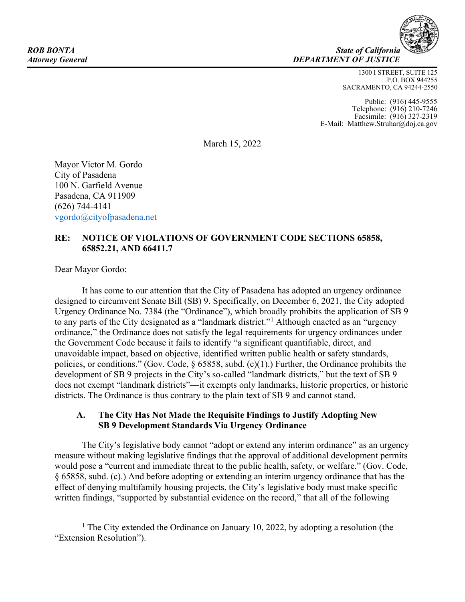**ROB BONTA** State of California *Attorney General DEPARTMENT OF JUSTICE*

> 1300 I STREET, SUITE 125 P.O. BOX 944255 SACRAMENTO, CA 94244-2550

Public: (916) 445-9555 Telephone: (916) 210-7246 Facsimile: (916) 327-2319 E-Mail: Matthew.Struhar@doj.ca.gov

March 15, 2022

Mayor Victor M. Gordo City of Pasadena 100 N. Garfield Avenue Pasadena, CA 911909 (626) 744-4141 [vgordo@cityofpasadena.net](mailto:vgordo@cityofpasadena.net)

## **RE: NOTICE OF VIOLATIONS OF GOVERNMENT CODE SECTIONS 65858, 65852.21, AND 66411.7**

Dear Mayor Gordo:

It has come to our attention that the City of Pasadena has adopted an urgency ordinance designed to circumvent Senate Bill (SB) 9. Specifically, on December 6, 2021, the City adopted Urgency Ordinance No. 7384 (the "Ordinance"), which broadly prohibits the application of SB 9 to any parts of the City designated as a "landmark district."<sup>1</sup> Although enacted as an "urgency ordinance," the Ordinance does not satisfy the legal requirements for urgency ordinances under the Government Code because it fails to identify "a significant quantifiable, direct, and unavoidable impact, based on objective, identified written public health or safety standards, policies, or conditions." (Gov. Code,  $\S$  65858, subd. (c)(1).) Further, the Ordinance prohibits the development of SB 9 projects in the City's so-called "landmark districts," but the text of SB 9 does not exempt "landmark districts"—it exempts only landmarks, historic properties, or historic districts. The Ordinance is thus contrary to the plain text of SB 9 and cannot stand.

### **A. The City Has Not Made the Requisite Findings to Justify Adopting New SB 9 Development Standards Via Urgency Ordinance**

The City's legislative body cannot "adopt or extend any interim ordinance" as an urgency measure without making legislative findings that the approval of additional development permits would pose a "current and immediate threat to the public health, safety, or welfare." (Gov. Code, § 65858, subd. (c).) And before adopting or extending an interim urgency ordinance that has the effect of denying multifamily housing projects, the City's legislative body must make specific written findings, "supported by substantial evidence on the record," that all of the following

<sup>1</sup> The City extended the Ordinance on January 10, 2022, by adopting a resolution (the "Extension Resolution").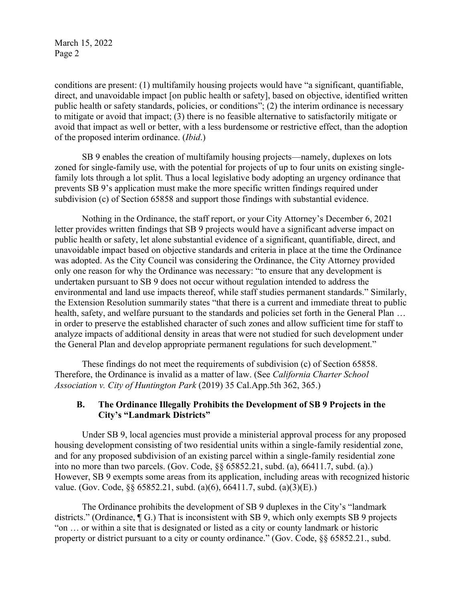March 15, 2022 Page 2

conditions are present:  $(1)$  multifamily housing projects would have "a significant, quantifiable, direct, and unavoidable impact [on public health or safety], based on objective, identified written public health or safety standards, policies, or conditions"; (2) the interim ordinance is necessary to mitigate or avoid that impact; (3) there is no feasible alternative to satisfactorily mitigate or avoid that impact as well or better, with a less burdensome or restrictive effect, than the adoption of the proposed interim ordinance. (*Ibid*.)

SB 9 enables the creation of multifamily housing projects—namely, duplexes on lots zoned for single-family use, with the potential for projects of up to four units on existing singlefamily lots through a lot split. Thus a local legislative body adopting an urgency ordinance that prevents SB 9's application must make the more specific written findings required under subdivision (c) of Section 65858 and support those findings with substantial evidence.

Nothing in the Ordinance, the staff report, or your City Attorney's December 6, 2021 letter provides written findings that SB 9 projects would have a significant adverse impact on public health or safety, let alone substantial evidence of a significant, quantifiable, direct, and unavoidable impact based on objective standards and criteria in place at the time the Ordinance was adopted. As the City Council was considering the Ordinance, the City Attorney provided only one reason for why the Ordinance was necessary: "to ensure that any development is undertaken pursuant to SB 9 does not occur without regulation intended to address the environmental and land use impacts thereof, while staff studies permanent standards." Similarly, the Extension Resolution summarily states "that there is a current and immediate threat to public health, safety, and welfare pursuant to the standards and policies set forth in the General Plan ... in order to preserve the established character of such zones and allow sufficient time for staff to analyze impacts of additional density in areas that were not studied for such development under the General Plan and develop appropriate permanent regulations for such development."

These findings do not meet the requirements of subdivision (c) of Section 65858. Therefore, the Ordinance is invalid as a matter of law. (See *California Charter School Association v. City of Huntington Park* (2019) 35 Cal.App.5th 362, 365.)

### **B. The Ordinance Illegally Prohibits the Development of SB 9 Projects in the City's "Landmark Districts"**

Under SB 9, local agencies must provide a ministerial approval process for any proposed housing development consisting of two residential units within a single-family residential zone, and for any proposed subdivision of an existing parcel within a single-family residential zone into no more than two parcels. (Gov. Code, §§ 65852.21, subd. (a), 66411.7, subd. (a).) However, SB 9 exempts some areas from its application, including areas with recognized historic value. (Gov. Code, §§ 65852.21, subd. (a)(6), 66411.7, subd. (a)(3)(E).)

The Ordinance prohibits the development of SB 9 duplexes in the City's "landmark" districts." (Ordinance,  $\P$  G.) That is inconsistent with SB 9, which only exempts SB 9 projects "on  $\ldots$  or within a site that is designated or listed as a city or county landmark or historic property or district pursuant to a city or county ordinance." (Gov. Code, §§ 65852.21., subd.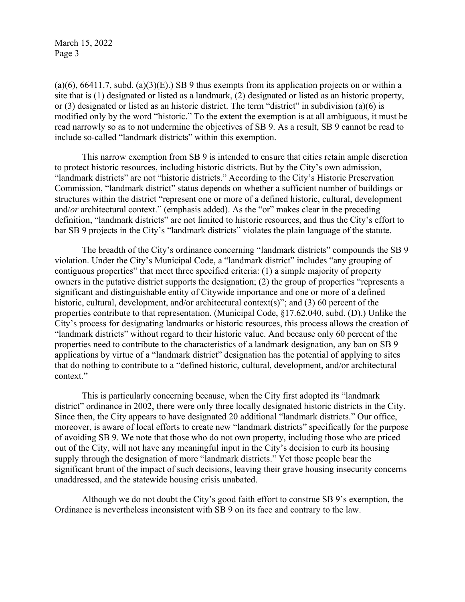March 15, 2022 Page 3

 $(a)(6)$ , 66411.7, subd.  $(a)(3)(E)$ . SB 9 thus exempts from its application projects on or within a site that is (1) designated or listed as a landmark, (2) designated or listed as an historic property, or (3) designated or listed as an historic district. The term "district" in subdivision (a)(6) is modified only by the word "historic." To the extent the exemption is at all ambiguous, it must be read narrowly so as to not undermine the objectives of SB 9. As a result, SB 9 cannot be read to include so-called "landmark districts" within this exemption.

This narrow exemption from SB 9 is intended to ensure that cities retain ample discretion to protect historic resources, including historic districts. But by the City's own admission, "landmark districts" are not "historic districts." According to the City's Historic Preservation Commission, "landmark district" status depends on whether a sufficient number of buildings or structures within the district "represent one or more of a defined historic, cultural, development and/*or* architectural context." (emphasis added). As the "or" makes clear in the preceding definition, "landmark districts" are not limited to historic resources, and thus the City's effort to bar SB 9 projects in the City's "landmark districts" violates the plain language of the statute.

The breadth of the City's ordinance concerning "landmark districts" compounds the SB 9 violation. Under the City's Municipal Code, a "landmark district" includes "any grouping of contiguous properties" that meet three specified criteria: (1) a simple majority of property owners in the putative district supports the designation;  $(2)$  the group of properties "represents a significant and distinguishable entity of Citywide importance and one or more of a defined historic, cultural, development, and/or architectural context(s)"; and (3) 60 percent of the properties contribute to that representation. (Municipal Code, §17.62.040, subd. (D).) Unlike the City's process for designating landmarks or historic resources, this process allows the creation of "landmark districts" without regard to their historic value. And because only 60 percent of the properties need to contribute to the characteristics of a landmark designation, any ban on SB 9 applications by virtue of a "landmark district" designation has the potential of applying to sites that do nothing to contribute to a "defined historic, cultural, development, and/or architectural context."

This is particularly concerning because, when the City first adopted its "landmark" district" ordinance in 2002, there were only three locally designated historic districts in the City. Since then, the City appears to have designated 20 additional "landmark districts." Our office, moreover, is aware of local efforts to create new "landmark districts" specifically for the purpose of avoiding SB 9. We note that those who do not own property, including those who are priced out of the City, will not have any meaningful input in the City's decision to curb its housing supply through the designation of more "landmark districts." Yet those people bear the significant brunt of the impact of such decisions, leaving their grave housing insecurity concerns unaddressed, and the statewide housing crisis unabated.

Although we do not doubt the City's good faith effort to construe SB 9's exemption, the Ordinance is nevertheless inconsistent with SB 9 on its face and contrary to the law.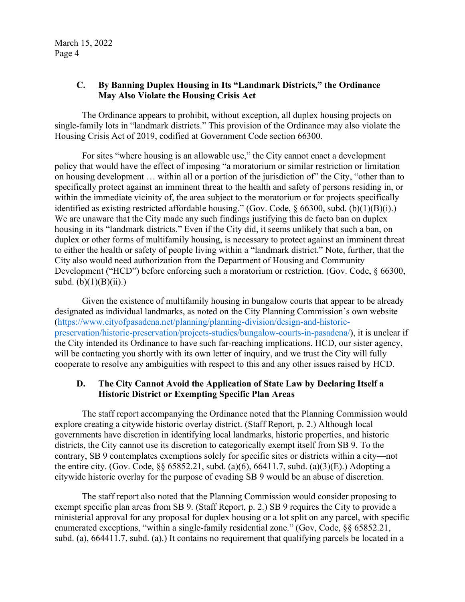# **C.** By Banning Duplex Housing in Its "Landmark Districts," the Ordinance **May Also Violate the Housing Crisis Act**

The Ordinance appears to prohibit, without exception, all duplex housing projects on single-family lots in "landmark districts." This provision of the Ordinance may also violate the Housing Crisis Act of 2019, codified at Government Code section 66300.

For sites "where housing is an allowable use," the City cannot enact a development policy that would have the effect of imposing "a moratorium or similar restriction or limitation on housing development  $\ldots$  within all or a portion of the jurisdiction of" the City, "other than to specifically protect against an imminent threat to the health and safety of persons residing in, or within the immediate vicinity of, the area subject to the moratorium or for projects specifically identified as existing restricted affordable housing." (Gov. Code,  $\S$  66300, subd. (b)(1)(B)(i).) We are unaware that the City made any such findings justifying this de facto ban on duplex housing in its "landmark districts." Even if the City did, it seems unlikely that such a ban, on duplex or other forms of multifamily housing, is necessary to protect against an imminent threat to either the health or safety of people living within a "landmark district." Note, further, that the City also would need authorization from the Department of Housing and Community Development ("HCD") before enforcing such a moratorium or restriction. (Gov. Code,  $§$  66300, subd.  $(b)(1)(B)(ii)$ .)

Given the existence of multifamily housing in bungalow courts that appear to be already designated as individual landmarks, as noted on the City Planning Commission's own website [\(https://www.cityofpasadena.net/planning/planning-division/design-and-historic](https://www.cityofpasadena.net/planning/planning-division/design-and-historic-preservation/historic-preservation/projects-studies/bungalow-courts-in-pasadena/)[preservation/historic-preservation/projects-studies/bungalow-courts-in-pasadena/\)](https://www.cityofpasadena.net/planning/planning-division/design-and-historic-preservation/historic-preservation/projects-studies/bungalow-courts-in-pasadena/), it is unclear if the City intended its Ordinance to have such far-reaching implications. HCD, our sister agency, will be contacting you shortly with its own letter of inquiry, and we trust the City will fully cooperate to resolve any ambiguities with respect to this and any other issues raised by HCD.

# **D. The City Cannot Avoid the Application of State Law by Declaring Itself a Historic District or Exempting Specific Plan Areas**

The staff report accompanying the Ordinance noted that the Planning Commission would explore creating a citywide historic overlay district. (Staff Report, p. 2.) Although local governments have discretion in identifying local landmarks, historic properties, and historic districts, the City cannot use its discretion to categorically exempt itself from SB 9. To the contrary, SB 9 contemplates exemptions solely for specific sites or districts within a city—not the entire city. (Gov. Code, §§ 65852.21, subd. (a)(6), 66411.7, subd. (a)(3)(E).) Adopting a citywide historic overlay for the purpose of evading SB 9 would be an abuse of discretion.

The staff report also noted that the Planning Commission would consider proposing to exempt specific plan areas from SB 9. (Staff Report, p. 2.) SB 9 requires the City to provide a ministerial approval for any proposal for duplex housing or a lot split on any parcel, with specific enumerated exceptions, "within a single-family residential zone." (Gov, Code,  $\& 65852.21$ , subd. (a), 664411.7, subd. (a).) It contains no requirement that qualifying parcels be located in a